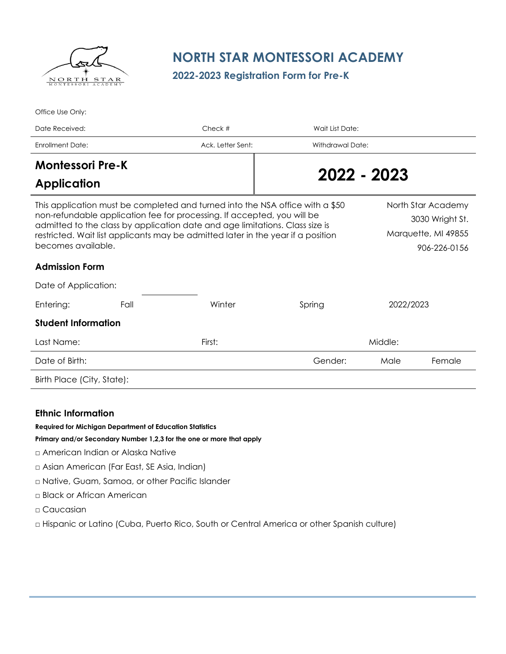

Office Use Only:

# **NORTH STAR MONTESSORI ACADEMY**

**2022-2023 Registration Form for Pre-K**

| Date Received:                                                                                                                                                                                                                                                                                                                                     |      | Check #           | Wait List Date:                                                              |           |        |  |
|----------------------------------------------------------------------------------------------------------------------------------------------------------------------------------------------------------------------------------------------------------------------------------------------------------------------------------------------------|------|-------------------|------------------------------------------------------------------------------|-----------|--------|--|
| <b>Enrollment Date:</b>                                                                                                                                                                                                                                                                                                                            |      | Ack. Letter Sent: | Withdrawal Date:                                                             |           |        |  |
| <b>Montessori Pre-K</b>                                                                                                                                                                                                                                                                                                                            |      |                   |                                                                              |           |        |  |
| <b>Application</b>                                                                                                                                                                                                                                                                                                                                 |      |                   | 2022 - 2023                                                                  |           |        |  |
| This application must be completed and turned into the NSA office with a \$50<br>non-refundable application fee for processing. If accepted, you will be<br>admitted to the class by application date and age limitations. Class size is<br>restricted. Wait list applicants may be admitted later in the year if a position<br>becomes available. |      |                   | North Star Academy<br>3030 Wright St.<br>Marquette, MI 49855<br>906-226-0156 |           |        |  |
| <b>Admission Form</b>                                                                                                                                                                                                                                                                                                                              |      |                   |                                                                              |           |        |  |
| Date of Application:                                                                                                                                                                                                                                                                                                                               |      |                   |                                                                              |           |        |  |
| Entering:                                                                                                                                                                                                                                                                                                                                          | Fall | Winter            | Spring                                                                       | 2022/2023 |        |  |
| <b>Student Information</b>                                                                                                                                                                                                                                                                                                                         |      |                   |                                                                              |           |        |  |
| Last Name:                                                                                                                                                                                                                                                                                                                                         |      | First:            | Middle:                                                                      |           |        |  |
| Date of Birth:                                                                                                                                                                                                                                                                                                                                     |      |                   | Gender:                                                                      | Male      | Female |  |
| Birth Place (City, State):                                                                                                                                                                                                                                                                                                                         |      |                   |                                                                              |           |        |  |

#### **Ethnic Information**

**Required for Michigan Department of Education Statistics**

**Primary and/or Secondary Number 1,2,3 for the one or more that apply**

- □ American Indian or Alaska Native
- □ Asian American (Far East, SE Asia, Indian)
- □ Native, Guam, Samoa, or other Pacific Islander
- □ Black or African American
- □ Caucasian

□ Hispanic or Latino (Cuba, Puerto Rico, South or Central America or other Spanish culture)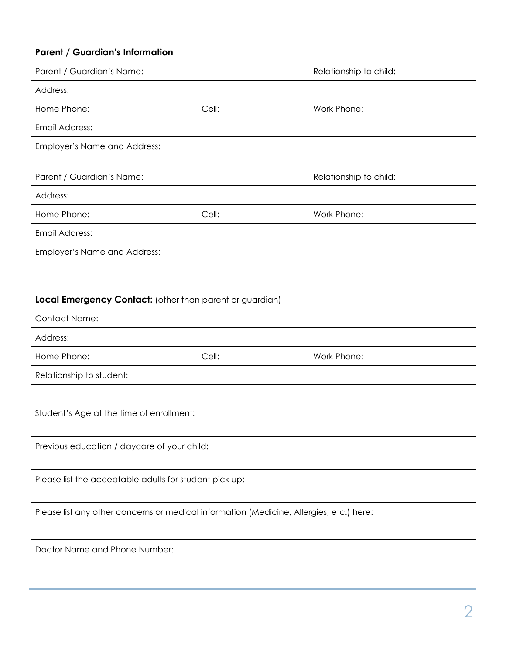# **Parent / Guardian's Information**

| Parent / Guardian's Name:    |       | Relationship to child: |  |  |
|------------------------------|-------|------------------------|--|--|
| Address:                     |       |                        |  |  |
| Home Phone:                  | Cell: | Work Phone:            |  |  |
| Email Address:               |       |                        |  |  |
| Employer's Name and Address: |       |                        |  |  |
|                              |       |                        |  |  |
| Parent / Guardian's Name:    |       | Relationship to child: |  |  |
| Address:                     |       |                        |  |  |
| Home Phone:                  | Cell: | Work Phone:            |  |  |
| Email Address:               |       |                        |  |  |
| Employer's Name and Address: |       |                        |  |  |
|                              |       |                        |  |  |
|                              |       |                        |  |  |

## **Local Emergency Contact:** (other than parent or guardian)

| Contact Name:            |       |             |
|--------------------------|-------|-------------|
| Address:                 |       |             |
| Home Phone:              | Cell: | Work Phone: |
| Relationship to student: |       |             |

Student's Age at the time of enrollment:

Previous education / daycare of your child:

Please list the acceptable adults for student pick up:

Please list any other concerns or medical information (Medicine, Allergies, etc.) here:

Doctor Name and Phone Number: